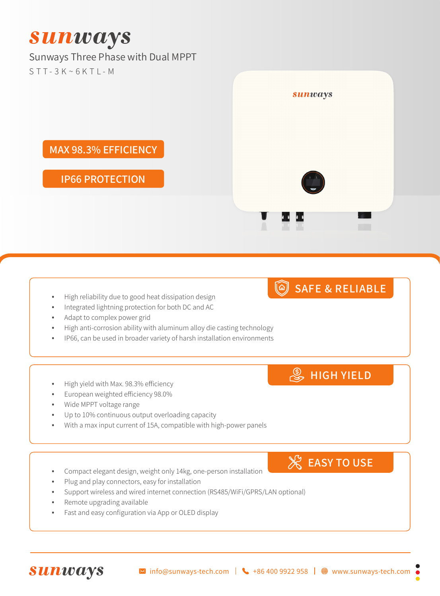# **Sunways**

#### Sunways Three Phase with Dual MPPT  $STT-3K~6KTI-M$

MAX 98.3% EFFICIENCY

### IP66 PROTECTION

- High reliability due to good heat dissipation design
- Integrated lightning protection for both DC and AC
- Adapt to complex power grid
- High anti-corrosion ability with aluminum alloy die casting technology
- IP66, can be used in broader variety of harsh installation environments
- High yield with Max. 98.3% efficiency
- European weighted efficiency 98.0%
- Wide MPPT voltage range
- Up to 10% continuous output overloading capacity
- With a max input current of 15A, compatible with high-power panels
- Compact elegant design, weight only 14kg, one-person installation
- Plug and play connectors, easy for installation
- Support wireless and wired internet connection (RS485/WiFi/GPRS/LAN optional)
- Remote upgrading available

**Sunways** 

Fast and easy configuration via App or OLED display

**EASY TO USE** 

**S** HIGH YIELD

## SAFE & RELIABLE

sunways